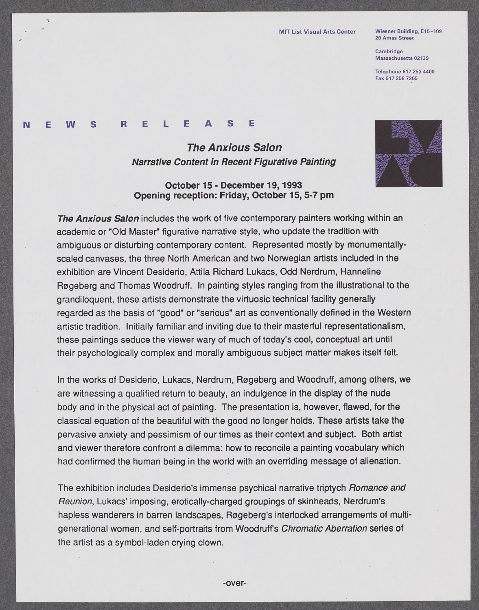## **MIT List Visual Arts Center Wiesner Building, E15-109**

**20 Ames Street**

**Cambridge Massachusetts 02139**

**Telephone [617 253 4400](tel:6172534400) Fax [617 258 7265](fax:6172587265)**

## **N E W S R E** L **E A S E**

 $\hat{\mathcal{A}}$ 

## **The Anxious Salon Narrative Content In Recent** *Figurative* **Painting**

## **October 15 - December 19, 1993 Opening reception: Friday, October 15, 5-7 pm**



**The Anxious Salon** includes the work of five contemporary painters working within an academic or **"Old** Master" figurative narrative style, who update the tradition with ambiguous or disturbing contemporary content. Represented mostly **by** monumentallyscaled canvases, the three North American and two Norwegian artists included in the exhibition are Vincent Desiderio, Attila Richard Lukacs, **Odd** Nerdrum, Hanneline Rogeberg and Thomas Woodruff. In painting styles ranging from the illustrational to the grandiloquent, these artists demonstrate the virtuosic technical facility generally regarded as the basis of "good" or "serious" art as conventionally defined in the Western artistic tradition. Initially familiar and inviting due to their masterful representationalism, these paintings seduce the viewer wary of much of today's cool, conceptual art until their psychologically complex and morally ambiguous subject matter makes itself felt.

In the works of Desiderio, Lukacs, Nerdrum, Rogeberg and Woodruff, among others, we are witnessing a qualified return to beauty, an indulgence in the display of the nude body and in the physical act of painting. The presentation is, however, flawed, for the classical equation of the beautiful with the good no longer holds. These artists take the pervasive anxiety and pessimism of our times as their context and subject. Both artist and viewer therefore confront a dilemma: how to reconcile a painting vocabulary which had confirmed the human being in the world with an overriding message of alienation.

The exhibition includes Desiderio's immense psychical narrative triptych Romance and Reunion, Lukacs' imposing, erotically-charged groupings of skinheads, Nerdrum's hapless wanderers in barren landscapes, Regeberg's interlocked arrangements of multigenerational women, and self-portraits from Woodruff's Chromatic Aberration series of the artist as a symbol-laden crying clown.